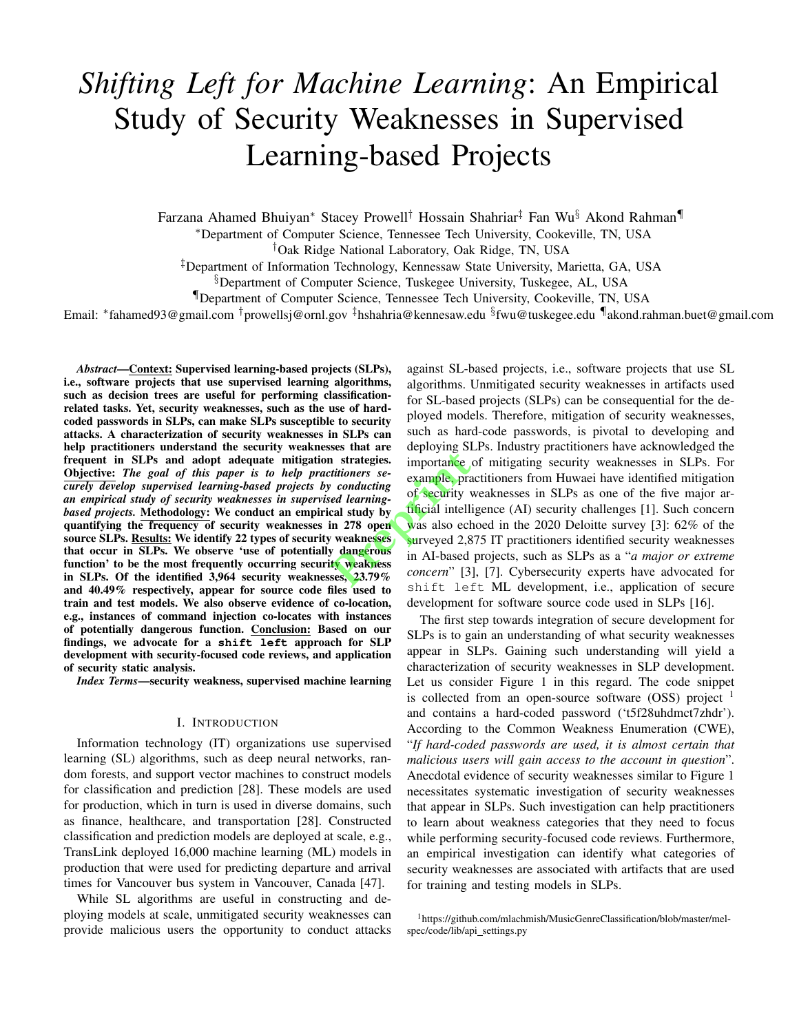# *Shifting Left for Machine Learning*: An Empirical Study of Security Weaknesses in Supervised Learning-based Projects

Farzana Ahamed Bhuiyan<sup>∗</sup> Stacey Prowell† Hossain Shahriar‡ Fan Wu§ Akond Rahman¶

<sup>∗</sup>Department of Computer Science, Tennessee Tech University, Cookeville, TN, USA

†Oak Ridge National Laboratory, Oak Ridge, TN, USA

‡Department of Information Technology, Kennessaw State University, Marietta, GA, USA

§Department of Computer Science, Tuskegee University, Tuskegee, AL, USA

¶Department of Computer Science, Tennessee Tech University, Cookeville, TN, USA

Email: \*fahamed93@gmail.com <sup>†</sup>prowellsj@ornl.gov <sup>‡</sup>hshahria@kennesaw.edu <sup>§</sup>fwu@tuskegee.edu ¶akond.rahman.buet@gmail.com

*Abstract*—Context: Supervised learning-based projects (SLPs), i.e., software projects that use supervised learning algorithms, such as decision trees are useful for performing classificationrelated tasks. Yet, security weaknesses, such as the use of hardcoded passwords in SLPs, can make SLPs susceptible to security attacks. A characterization of security weaknesses in SLPs can help practitioners understand the security weaknesses that are frequent in SLPs and adopt adequate mitigation strategies. Objective: *The goal of this paper is to help practitioners securely develop supervised learning-based projects by conducting an empirical study of security weaknesses in supervised learningbased projects.* Methodology: We conduct an empirical study by quantifying the frequency of security weaknesses in 278 open source SLPs. Results: We identify 22 types of security weaknesses that occur in SLPs. We observe 'use of potentially dangerous function' to be the most frequently occurring security weakness in SLPs. Of the identified 3,964 security weaknesses, 23.79% and 40.49% respectively, appear for source code files used to train and test models. We also observe evidence of co-location, e.g., instances of command injection co-locates with instances of potentially dangerous function. Conclusion: Based on our findings, we advocate for a **shift left** approach for SLP development with security-focused code reviews, and application of security static analysis.

*Index Terms*—security weakness, supervised machine learning

#### I. INTRODUCTION

Information technology (IT) organizations use supervised learning (SL) algorithms, such as deep neural networks, random forests, and support vector machines to construct models for classification and prediction [28]. These models are used for production, which in turn is used in diverse domains, such as finance, healthcare, and transportation [28]. Constructed classification and prediction models are deployed at scale, e.g., TransLink deployed 16,000 machine learning (ML) models in production that were used for predicting departure and arrival times for Vancouver bus system in Vancouver, Canada [47].

While SL algorithms are useful in constructing and deploying models at scale, unmitigated security weaknesses can provide malicious users the opportunity to conduct attacks

against SL-based projects, i.e., software projects that use SL algorithms. Unmitigated security weaknesses in artifacts used for SL-based projects (SLPs) can be consequential for the deployed models. Therefore, mitigation of security weaknesses, such as hard-code passwords, is pivotal to developing and deploying SLPs. Industry practitioners have acknowledged the importance of mitigating security weaknesses in SLPs. For example, practitioners from Huwaei have identified mitigation of security weaknesses in SLPs as one of the five major artificial intelligence (AI) security challenges [1]. Such concern was also echoed in the 2020 Deloitte survey [3]: 62% of the surveyed 2,875 IT practitioners identified security weaknesses in AI-based projects, such as SLPs as a "*a major or extreme concern*" [3], [7]. Cybersecurity experts have advocated for shift left ML development, i.e., application of secure development for software source code used in SLPs [16]. **Prepries**<br> **Prepries**<br> **Prepries**<br> **Prepries**<br> **Prepries**<br> **Prepries**<br> **Prepries**<br> **Prepries**<br> **Prepries**<br> **Prepries**<br> **Prepries**<br> **Prepries**<br> **Prepries**<br> **Prepries**<br> **Prepries**<br> **Prepries**<br> **Prepries**<br> **Prepries**<br> **Prepr** 

> The first step towards integration of secure development for SLPs is to gain an understanding of what security weaknesses appear in SLPs. Gaining such understanding will yield a characterization of security weaknesses in SLP development. Let us consider Figure 1 in this regard. The code snippet is collected from an open-source software  $(OSS)$  project  $<sup>1</sup>$ </sup> and contains a hard-coded password ('t5f28uhdmct7zhdr'). According to the Common Weakness Enumeration (CWE), "*If hard-coded passwords are used, it is almost certain that malicious users will gain access to the account in question*". Anecdotal evidence of security weaknesses similar to Figure 1 necessitates systematic investigation of security weaknesses that appear in SLPs. Such investigation can help practitioners to learn about weakness categories that they need to focus while performing security-focused code reviews. Furthermore, an empirical investigation can identify what categories of security weaknesses are associated with artifacts that are used for training and testing models in SLPs.

<sup>1</sup>https://github.com/mlachmish/MusicGenreClassification/blob/master/melspec/code/lib/api\_settings.py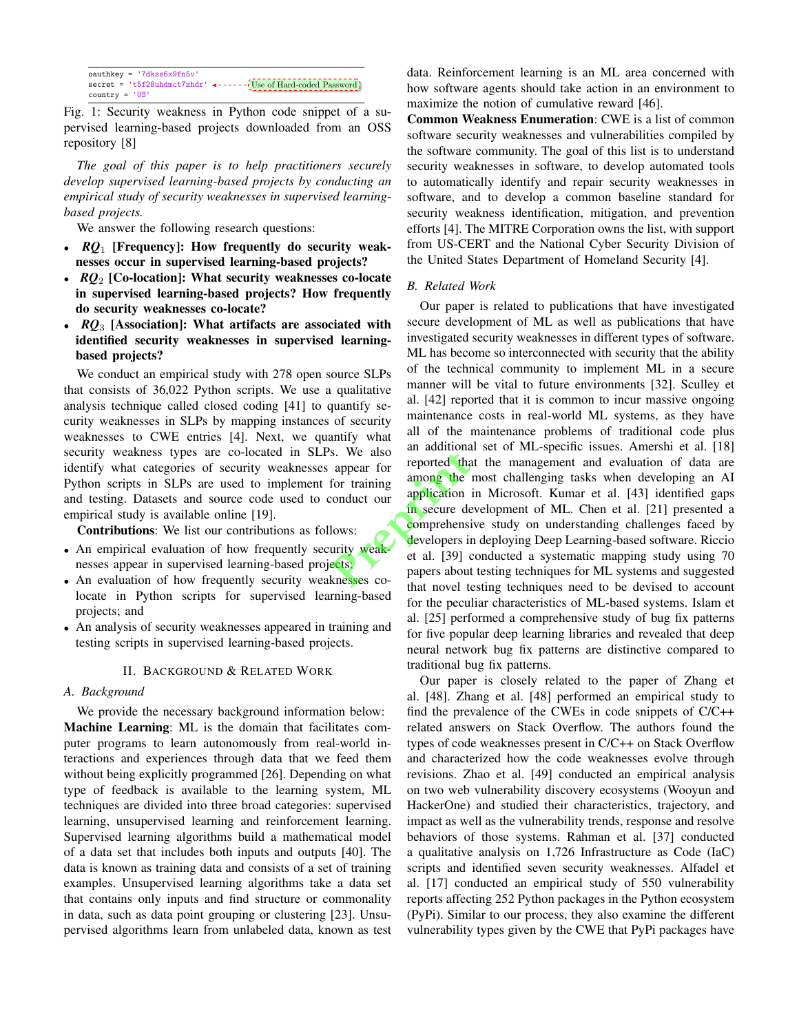| $oauthkey = '7dkss6x9fn5v'$ |                                                                 |
|-----------------------------|-----------------------------------------------------------------|
|                             | secret = 't5f28uhdmct7zhdr' <------(Use of Hard-coded Password) |
| $country = 'US'$            |                                                                 |

pervised learning-based projects downloaded from an OSS repository [8]  $\mathcal{L}$ Fig. 1: Security weakness in Python code snippet of a su-

*The goal of this paper is to help practitioners securely* develop supervised learning-based projects by conducting an empirical study of security weaknesses in supervised learningbased projects.

We answer the following research questions:

- *RQ*<sub>1</sub> [Frequency]: How frequently do security weaknesses occur in supervised learning-based projects?
- $RQ_2$  [Co-location]: What security weaknesses co-locate in supervised learning-based projects? How frequently do security weaknesses co-locate?
- *RQ*<sub>3</sub> [Association]: What artifacts are associated with identified security weaknesses in supervised learningbased projects?

We conduct an empirical study with 278 open source SLPs that consists of  $36,022$  Python scripts. We use a qualitative analysis technique called closed coding [41] to quantify security weaknesses in SLPs by mapping instances of security weaknesses to CWE entries [4]. Next, we quantify what security weakness types are co-located in SLPs. We also identify what categories of security weaknesses appear for Python scripts in SLPs are used to implement for training and testing. Datasets and source code used to conduct our empirical study is available online [19].

Contributions: We list our contributions as follows:

- An empirical evaluation of how frequently security weaknesses appear in supervised learning-based projects;
- An evaluation of how frequently security weaknesses colocate in Python scripts for supervised learning-based projects; and
- An analysis of security weaknesses appeared in training and testing scripts in supervised learning-based projects.

#### II. BACKGROUND & RELATED WORK

#### *A. Background*

We provide the necessary background information below: Machine Learning: ML is the domain that facilitates computer programs to learn autonomously from real-world interactions and experiences through data that we feed them without being explicitly programmed [26]. Depending on what type of feedback is available to the learning system, ML techniques are divided into three broad categories: supervised learning, unsupervised learning and reinforcement learning. Supervised learning algorithms build a mathematical model of a data set that includes both inputs and outputs [40]. The data is known as training data and consists of a set of training examples. Unsupervised learning algorithms take a data set that contains only inputs and find structure or commonality in data, such as data point grouping or clustering [23]. Unsupervised algorithms learn from unlabeled data, known as test data. Reinforcement learning is an ML area concerned with how software agents should take action in an environment to maximize the notion of cumulative reward [46].

Common Weakness Enumeration: CWE is a list of common software security weaknesses and vulnerabilities compiled by the software community. The goal of this list is to understand security weaknesses in software, to develop automated tools to automatically identify and repair security weaknesses in software, and to develop a common baseline standard for security weakness identification, mitigation, and prevention efforts [4]. The MITRE Corporation owns the list, with support from US-CERT and the National Cyber Security Division of the United States Department of Homeland Security [4].

## *B. Related Work*

Our paper is related to publications that have investigated secure development of ML as well as publications that have investigated security weaknesses in different types of software. ML has become so interconnected with security that the ability of the technical community to implement ML in a secure manner will be vital to future environments [32]. Sculley et al. [42] reported that it is common to incur massive ongoing maintenance costs in real-world ML systems, as they have all of the maintenance problems of traditional code plus an additional set of ML-specific issues. Amershi et al. [18] reported that the management and evaluation of data are among the most challenging tasks when developing an AI application in Microsoft. Kumar et al. [43] identified gaps in secure development of ML. Chen et al. [21] presented a comprehensive study on understanding challenges faced by developers in deploying Deep Learning-based software. Riccio et al. [39] conducted a systematic mapping study using 70 papers about testing techniques for ML systems and suggested that novel testing techniques need to be devised to account for the peculiar characteristics of ML-based systems. Islam et al. [25] performed a comprehensive study of bug fix patterns for five popular deep learning libraries and revealed that deep neural network bug fix patterns are distinctive compared to traditional bug fix patterns. s. We also an addition<br>appear for training<br>conduct our<br>conduct our<br>divideo in secure de<br>lows:<br>with weak developers in<br>ects.<br>ects.<br>knesses conduct that novel to

> Our paper is closely related to the paper of Zhang et al. [48]. Zhang et al. [48] performed an empirical study to find the prevalence of the CWEs in code snippets of C/C++ related answers on Stack Overflow. The authors found the types of code weaknesses present in C/C++ on Stack Overflow and characterized how the code weaknesses evolve through revisions. Zhao et al. [49] conducted an empirical analysis on two web vulnerability discovery ecosystems (Wooyun and HackerOne) and studied their characteristics, trajectory, and impact as well as the vulnerability trends, response and resolve behaviors of those systems. Rahman et al. [37] conducted a qualitative analysis on 1,726 Infrastructure as Code (IaC) scripts and identified seven security weaknesses. Alfadel et al. [17] conducted an empirical study of 550 vulnerability reports affecting 252 Python packages in the Python ecosystem (PyPi). Similar to our process, they also examine the different vulnerability types given by the CWE that PyPi packages have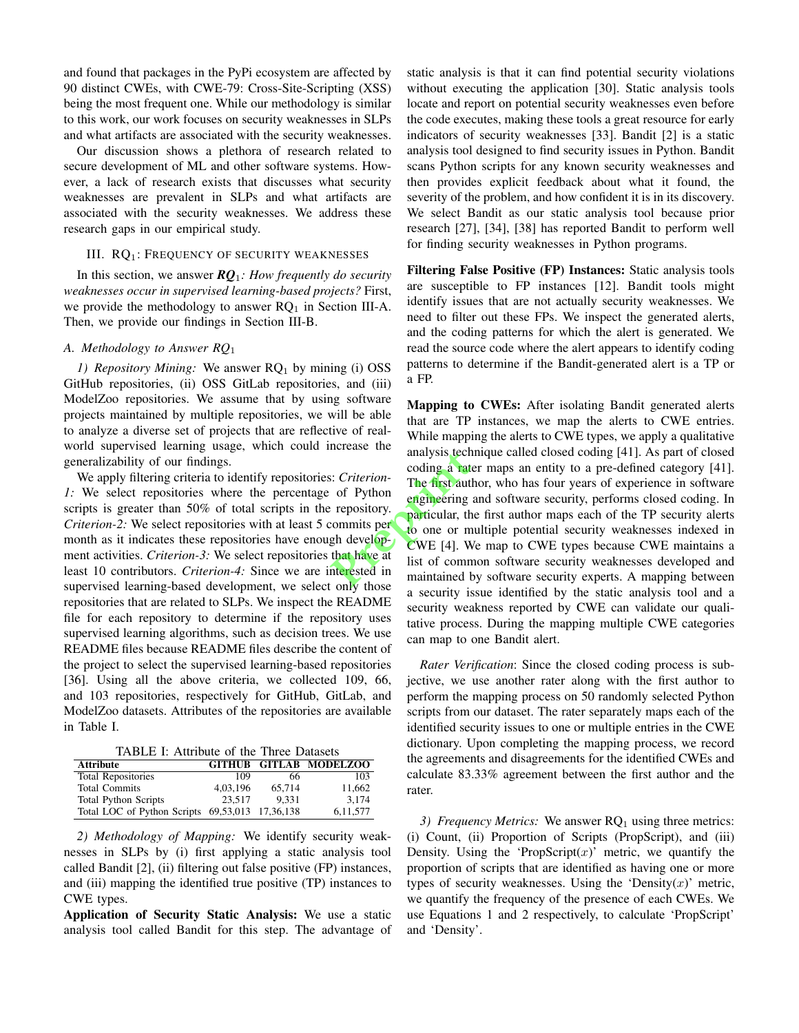and found that packages in the PyPi ecosystem are affected by 90 distinct CWEs, with CWE-79: Cross-Site-Scripting (XSS) being the most frequent one. While our methodology is similar to this work, our work focuses on security weaknesses in SLPs and what artifacts are associated with the security weaknesses.

Our discussion shows a plethora of research related to secure development of ML and other software systems. However, a lack of research exists that discusses what security weaknesses are prevalent in SLPs and what artifacts are associated with the security weaknesses. We address these research gaps in our empirical study.

#### III. RQ<sub>1</sub>: FREQUENCY OF SECURITY WEAKNESSES

In this section, we answer *RQ*1*: How frequently do security weaknesses occur in supervised learning-based projects?* First, we provide the methodology to answer  $RQ_1$  in Section III-A. Then, we provide our findings in Section III-B.

## *A. Methodology to Answer RQ*<sup>1</sup>

*1) Repository Mining:* We answer RQ<sub>1</sub> by mining (i) OSS GitHub repositories, (ii) OSS GitLab repositories, and (iii) ModelZoo repositories. We assume that by using software projects maintained by multiple repositories, we will be able to analyze a diverse set of projects that are reflective of realworld supervised learning usage, which could increase the generalizability of our findings.

We apply filtering criteria to identify repositories: *Criterion-1:* We select repositories where the percentage of Python scripts is greater than 50% of total scripts in the repository. *Criterion-2:* We select repositories with at least 5 commits per month as it indicates these repositories have enough development activities. *Criterion-3:* We select repositories that have at least 10 contributors. *Criterion-4:* Since we are interested in supervised learning-based development, we select only those repositories that are related to SLPs. We inspect the README file for each repository to determine if the repository uses supervised learning algorithms, such as decision trees. We use README files because README files describe the content of the project to select the supervised learning-based repositories [36]. Using all the above criteria, we collected 109, 66, and 103 repositories, respectively for GitHub, GitLab, and ModelZoo datasets. Attributes of the repositories are available in Table I.

TABLE I: Attribute of the Three Datasets

| <b>Attribute</b>                                |          |        | <b>GITHUB GITLAB MODELZOO</b> |
|-------------------------------------------------|----------|--------|-------------------------------|
| <b>Total Repositories</b>                       | 109      | 66     | 103                           |
| <b>Total Commits</b>                            | 4.03.196 | 65,714 | 11.662                        |
| <b>Total Python Scripts</b>                     | 23.517   | 9.331  | 3.174                         |
| Total LOC of Python Scripts 69,53,013 17,36,138 |          |        | 6.11.577                      |

*2) Methodology of Mapping:* We identify security weaknesses in SLPs by (i) first applying a static analysis tool called Bandit [2], (ii) filtering out false positive (FP) instances, and (iii) mapping the identified true positive (TP) instances to CWE types.

Application of Security Static Analysis: We use a static analysis tool called Bandit for this step. The advantage of static analysis is that it can find potential security violations without executing the application [30]. Static analysis tools locate and report on potential security weaknesses even before the code executes, making these tools a great resource for early indicators of security weaknesses [33]. Bandit [2] is a static analysis tool designed to find security issues in Python. Bandit scans Python scripts for any known security weaknesses and then provides explicit feedback about what it found, the severity of the problem, and how confident it is in its discovery. We select Bandit as our static analysis tool because prior research [27], [34], [38] has reported Bandit to perform well for finding security weaknesses in Python programs.

Filtering False Positive (FP) Instances: Static analysis tools are susceptible to FP instances [12]. Bandit tools might identify issues that are not actually security weaknesses. We need to filter out these FPs. We inspect the generated alerts, and the coding patterns for which the alert is generated. We read the source code where the alert appears to identify coding patterns to determine if the Bandit-generated alert is a TP or a FP.

Mapping to CWEs: After isolating Bandit generated alerts that are TP instances, we map the alerts to CWE entries. While mapping the alerts to CWE types, we apply a qualitative analysis technique called closed coding [41]. As part of closed coding a rater maps an entity to a pre-defined category [41]. The first author, who has four years of experience in software engineering and software security, performs closed coding. In particular, the first author maps each of the TP security alerts to one or multiple potential security weaknesses indexed in CWE [4]. We map to CWE types because CWE maintains a list of common software security weaknesses developed and maintained by software security experts. A mapping between a security issue identified by the static analysis tool and a security weakness reported by CWE can validate our qualitative process. During the mapping multiple CWE categories can map to one Bandit alert. analysis tech<br>
example the direct coding a rate<br>
of Python<br>
repository.<br>
Preprieting the direct coding a rate<br>
repository.<br>
Preprieting to one or maintained that have a<br>
repository.<br>
That have a<br>
repository.<br>
That have a<br>

> *Rater Verification*: Since the closed coding process is subjective, we use another rater along with the first author to perform the mapping process on 50 randomly selected Python scripts from our dataset. The rater separately maps each of the identified security issues to one or multiple entries in the CWE dictionary. Upon completing the mapping process, we record the agreements and disagreements for the identified CWEs and calculate 83.33% agreement between the first author and the rater.

> *3) Frequency Metrics:* We answer RQ<sub>1</sub> using three metrics: (i) Count, (ii) Proportion of Scripts (PropScript), and (iii) Density. Using the 'PropScript $(x)$ ' metric, we quantify the proportion of scripts that are identified as having one or more types of security weaknesses. Using the 'Density $(x)$ ' metric, we quantify the frequency of the presence of each CWEs. We use Equations 1 and 2 respectively, to calculate 'PropScript' and 'Density'.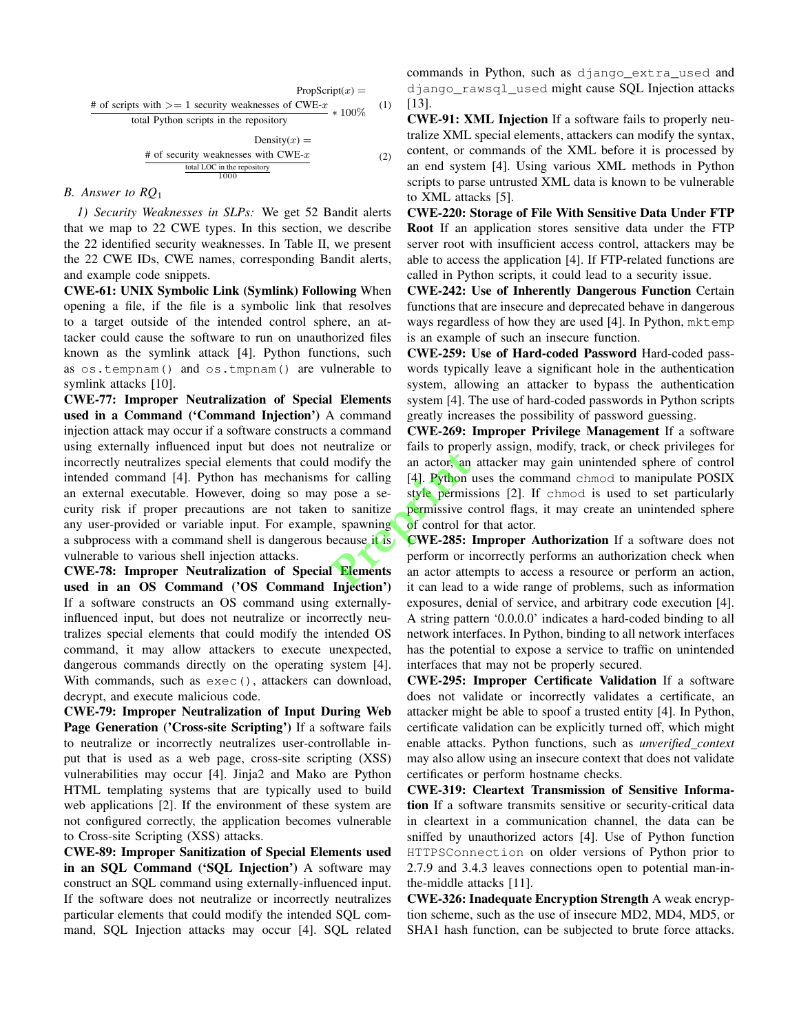$$
PropScript(x) =
$$
  
# of scripts with >= 1 security weaknesses of CWE-x  
total Python scripts in the repository  
Density(x) =  
Density(x) =

# of security weaknesses with CWE-x  
\n
$$
\frac{\text{total LOC in the repository}}{1000} \tag{2}
$$

# *B. Answer to RQ*<sup>1</sup>

*1) Security Weaknesses in SLPs:* We get 52 Bandit alerts that we map to 22 CWE types. In this section, we describe the 22 identified security weaknesses. In Table II, we present the 22 CWE IDs, CWE names, corresponding Bandit alerts, and example code snippets.

CWE-61: UNIX Symbolic Link (Symlink) Following When opening a file, if the file is a symbolic link that resolves to a target outside of the intended control sphere, an attacker could cause the software to run on unauthorized files known as the symlink attack [4]. Python functions, such as os.tempnam() and os.tmpnam() are vulnerable to symlink attacks [10].

CWE-77: Improper Neutralization of Special Elements used in a Command ('Command Injection') A command injection attack may occur if a software constructs a command using externally influenced input but does not neutralize or incorrectly neutralizes special elements that could modify the intended command [4]. Python has mechanisms for calling an external executable. However, doing so may pose a security risk if proper precautions are not taken to sanitize any user-provided or variable input. For example, spawning a subprocess with a command shell is dangerous because it is vulnerable to various shell injection attacks. and the an actor, and for calling [4]. Python pose a se-<br>tyle permissive control of control for the permissive control for example of control for the cause it is control of the permissive control for the control of the con

CWE-78: Improper Neutralization of Special Elements used in an OS Command ('OS Command Injection') If a software constructs an OS command using externallyinfluenced input, but does not neutralize or incorrectly neutralizes special elements that could modify the intended OS command, it may allow attackers to execute unexpected, dangerous commands directly on the operating system [4]. With commands, such as  $exec()$ , attackers can download, decrypt, and execute malicious code.

CWE-79: Improper Neutralization of Input During Web Page Generation ('Cross-site Scripting') If a software fails to neutralize or incorrectly neutralizes user-controllable input that is used as a web page, cross-site scripting (XSS) vulnerabilities may occur [4]. Jinja2 and Mako are Python HTML templating systems that are typically used to build web applications [2]. If the environment of these system are not configured correctly, the application becomes vulnerable to Cross-site Scripting (XSS) attacks.

CWE-89: Improper Sanitization of Special Elements used in an SQL Command ('SQL Injection') A software may construct an SQL command using externally-influenced input. If the software does not neutralize or incorrectly neutralizes particular elements that could modify the intended SQL command, SQL Injection attacks may occur [4]. SQL related

commands in Python, such as django\_extra\_used and django\_rawsql\_used might cause SQL Injection attacks [13].

CWE-91: XML Injection If a software fails to properly neutralize XML special elements, attackers can modify the syntax, content, or commands of the XML before it is processed by an end system [4]. Using various XML methods in Python scripts to parse untrusted XML data is known to be vulnerable to XML attacks [5].

CWE-220: Storage of File With Sensitive Data Under FTP Root If an application stores sensitive data under the FTP server root with insufficient access control, attackers may be able to access the application [4]. If FTP-related functions are called in Python scripts, it could lead to a security issue.

CWE-242: Use of Inherently Dangerous Function Certain functions that are insecure and deprecated behave in dangerous ways regardless of how they are used [4]. In Python, mktemp is an example of such an insecure function.

CWE-259: Use of Hard-coded Password Hard-coded passwords typically leave a significant hole in the authentication system, allowing an attacker to bypass the authentication system [4]. The use of hard-coded passwords in Python scripts greatly increases the possibility of password guessing.

CWE-269: Improper Privilege Management If a software fails to properly assign, modify, track, or check privileges for an actor, an attacker may gain unintended sphere of control [4]. Python uses the command chmod to manipulate POSIX style permissions [2]. If chmod is used to set particularly permissive control flags, it may create an unintended sphere of control for that actor.

CWE-285: Improper Authorization If a software does not perform or incorrectly performs an authorization check when an actor attempts to access a resource or perform an action, it can lead to a wide range of problems, such as information exposures, denial of service, and arbitrary code execution [4]. A string pattern '0.0.0.0' indicates a hard-coded binding to all network interfaces. In Python, binding to all network interfaces has the potential to expose a service to traffic on unintended interfaces that may not be properly secured.

CWE-295: Improper Certificate Validation If a software does not validate or incorrectly validates a certificate, an attacker might be able to spoof a trusted entity [4]. In Python, certificate validation can be explicitly turned off, which might enable attacks. Python functions, such as *unverified context* may also allow using an insecure context that does not validate certificates or perform hostname checks.

CWE-319: Cleartext Transmission of Sensitive Information If a software transmits sensitive or security-critical data in cleartext in a communication channel, the data can be sniffed by unauthorized actors [4]. Use of Python function HTTPSConnection on older versions of Python prior to 2.7.9 and 3.4.3 leaves connections open to potential man-inthe-middle attacks [11].

CWE-326: Inadequate Encryption Strength A weak encryption scheme, such as the use of insecure MD2, MD4, MD5, or SHA1 hash function, can be subjected to brute force attacks.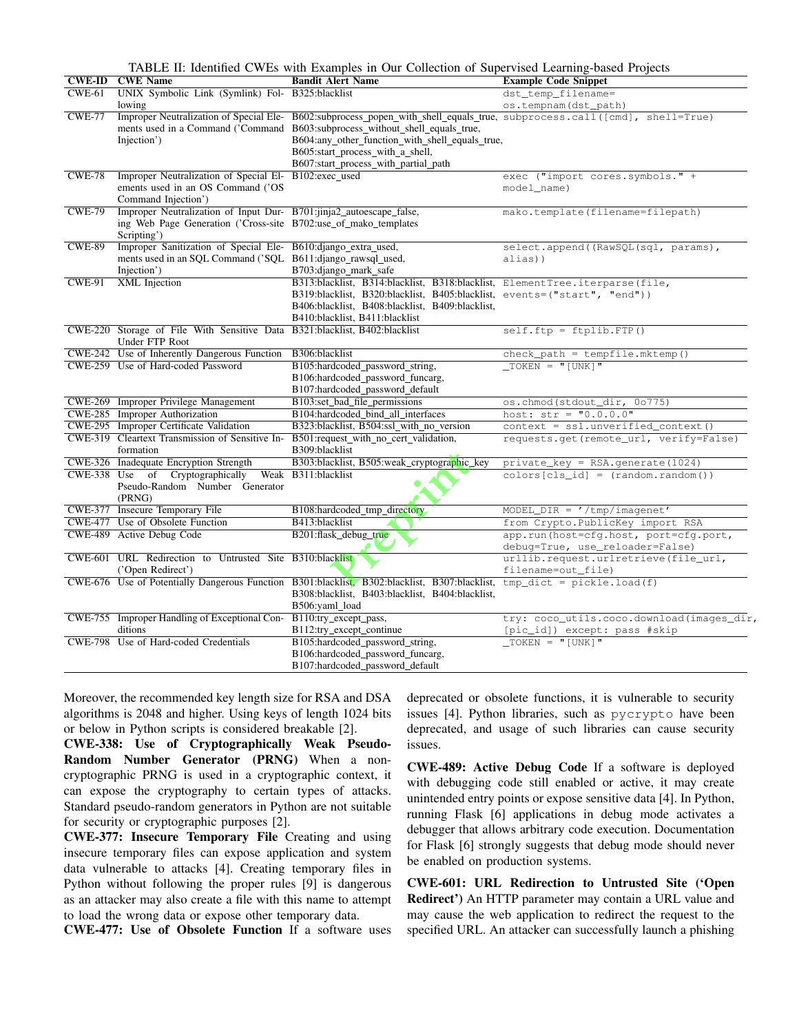TABLE II: Identified CWEs with Examples in Our Collection of Supervised Learning-based Projects

|               | <b>CWE-ID CWE Name</b>                                                                                                                 | <b>Bandit Alert Name</b>                                                                                                | <b>Example Code Snippet</b>                                                      |
|---------------|----------------------------------------------------------------------------------------------------------------------------------------|-------------------------------------------------------------------------------------------------------------------------|----------------------------------------------------------------------------------|
| $CWE-61$      | UNIX Symbolic Link (Symlink) Fol- B325:blacklist                                                                                       |                                                                                                                         | dst_temp_filename=                                                               |
|               | lowing                                                                                                                                 |                                                                                                                         | os.tempnam(dst_path)                                                             |
| <b>CWE-77</b> | Improper Neutralization of Special Ele-                                                                                                |                                                                                                                         | B602:subprocess popen with shell equals true, subprocess.call([cmd], shell=True) |
|               | ments used in a Command ('Command                                                                                                      | B603:subprocess_without_shell_equals_true,                                                                              |                                                                                  |
|               | Injection')                                                                                                                            | B604:any_other_function_with_shell_equals_true,                                                                         |                                                                                  |
|               |                                                                                                                                        | B605:start_process_with_a_shell,                                                                                        |                                                                                  |
|               |                                                                                                                                        | B607:start_process_with_partial_path                                                                                    |                                                                                  |
| <b>CWE-78</b> | Improper Neutralization of Special El-                                                                                                 | B102:exec used                                                                                                          | exec ("import cores.symbols." +                                                  |
|               | ements used in an OS Command ('OS                                                                                                      |                                                                                                                         | model_name)                                                                      |
|               | Command Injection')                                                                                                                    |                                                                                                                         |                                                                                  |
| <b>CWE-79</b> | Improper Neutralization of Input Dur- B701:jinja2_autoescape_false,<br>ing Web Page Generation ('Cross-site B702:use_of_mako_templates |                                                                                                                         | mako.template(filename=filepath)                                                 |
|               | Scripting')                                                                                                                            |                                                                                                                         |                                                                                  |
| <b>CWE-89</b> | Improper Sanitization of Special Ele- B610:django_extra_used,                                                                          |                                                                                                                         | select.append((RawSQL(sql, params),                                              |
|               | ments used in an SQL Command ('SQL B611:django_rawsql_used,                                                                            |                                                                                                                         | alias))                                                                          |
|               | Injection')                                                                                                                            | B703:django_mark_safe                                                                                                   |                                                                                  |
| $CWE-91$      | <b>XML</b> Injection                                                                                                                   | B313:blacklist, B314:blacklist, B318:blacklist, ElementTree.iterparse(file,                                             |                                                                                  |
|               |                                                                                                                                        | B319:blacklist, B320:blacklist, B405:blacklist, events=("start", "end"))                                                |                                                                                  |
|               |                                                                                                                                        | B406:blacklist, B408:blacklist, B409:blacklist,                                                                         |                                                                                  |
|               |                                                                                                                                        | B410:blacklist, B411:blacklist                                                                                          |                                                                                  |
|               | CWE-220 Storage of File With Sensitive Data B321:blacklist, B402:blacklist                                                             |                                                                                                                         | $self.ftp = ftplib.FTP()$                                                        |
|               | Under FTP Root                                                                                                                         |                                                                                                                         |                                                                                  |
|               | CWE-242 Use of Inherently Dangerous Function                                                                                           | B306:blacklist                                                                                                          | $check\_path = tempfile.mktemp()$                                                |
|               | CWE-259 Use of Hard-coded Password                                                                                                     | B105:hardcoded_password_string,                                                                                         | $TOKEN = "[UNK]"$                                                                |
|               |                                                                                                                                        | B106:hardcoded_password_funcarg,                                                                                        |                                                                                  |
|               |                                                                                                                                        | B107:hardcoded_password_default                                                                                         |                                                                                  |
|               | CWE-269 Improper Privilege Management                                                                                                  | B103:set_bad_file_permissions                                                                                           | os.chmod(stdout_dir, 0o775)                                                      |
|               | CWE-285 Improper Authorization                                                                                                         | B104:hardcoded_bind_all_interfaces                                                                                      | host: $str = "0.0.0.0"$                                                          |
|               | CWE-295 Improper Certificate Validation                                                                                                | B323:blacklist, B504:ssl_with_no_version                                                                                | context = ssl.unverified_context()                                               |
|               | CWE-319 Cleartext Transmission of Sensitive In-<br>formation                                                                           | B501:request with no cert validation,<br>B309:blacklist                                                                 | requests.get(remote_url, verify=False)                                           |
|               | CWE-326 Inadequate Encryption Strength                                                                                                 | B303:blacklist, B505:weak cryptographic key                                                                             | $private_{key} = RSA{\text .}generate(1024)$                                     |
|               | CWE-338 Use of Cryptographically                                                                                                       | Weak B311:blacklist                                                                                                     | $colors[cls_id] = (random.random())$                                             |
|               | Pseudo-Random Number Generator                                                                                                         |                                                                                                                         |                                                                                  |
|               | (PRNG)<br>CWE-377 Insecure Temporary File                                                                                              |                                                                                                                         |                                                                                  |
|               | CWE-477 Use of Obsolete Function                                                                                                       | B108:hardcoded_tmp_directory<br>B413:blacklist                                                                          | $MODEL_DIR = ' /tmp/imagenet'$<br>from Crypto.PublicKey import RSA               |
|               | CWE-489 Active Debug Code                                                                                                              | B201:flask_debug_true                                                                                                   | app.run(host=cfq.host, port=cfq.port,                                            |
|               |                                                                                                                                        |                                                                                                                         | debug=True, use_reloader=False)                                                  |
|               | CWE-601 URL Redirection to Untrusted Site B310:blacklist                                                                               |                                                                                                                         | urllib.request.urlretrieve(file_url,                                             |
|               | ('Open Redirect')                                                                                                                      |                                                                                                                         | filename=out_file)                                                               |
|               |                                                                                                                                        | CWE-676 Use of Potentially Dangerous Function B301:blacklist, B302:blacklist, B307:blacklist, tmp_dict = pickle.load(f) |                                                                                  |
|               |                                                                                                                                        | B308:blacklist, B403:blacklist, B404:blacklist,                                                                         |                                                                                  |
|               |                                                                                                                                        | B506:yaml_load                                                                                                          |                                                                                  |
|               | CWE-755 Improper Handling of Exceptional Con-                                                                                          | B110:try_except_pass,                                                                                                   | try: coco_utils.coco.download(images_dir,                                        |
|               | ditions                                                                                                                                | B112:try except continue                                                                                                | [pic_id]) except: pass #skip                                                     |
|               | CWE-798 Use of Hard-coded Credentials                                                                                                  | B105:hardcoded_password_string,                                                                                         | $\overline{\text{TOKEN}} = "[UNK]$                                               |
|               |                                                                                                                                        | B106:hardcoded_password_funcarg,                                                                                        |                                                                                  |
|               |                                                                                                                                        | B107:hardcoded_password_default                                                                                         |                                                                                  |

Moreover, the recommended key length size for RSA and DSA algorithms is 2048 and higher. Using keys of length 1024 bits or below in Python scripts is considered breakable [2].

CWE-338: Use of Cryptographically Weak Pseudo-Random Number Generator (PRNG) When a noncryptographic PRNG is used in a cryptographic context, it can expose the cryptography to certain types of attacks. Standard pseudo-random generators in Python are not suitable for security or cryptographic purposes [2].

CWE-377: Insecure Temporary File Creating and using insecure temporary files can expose application and system data vulnerable to attacks [4]. Creating temporary files in Python without following the proper rules [9] is dangerous as an attacker may also create a file with this name to attempt to load the wrong data or expose other temporary data.

CWE-477: Use of Obsolete Function If a software uses

deprecated or obsolete functions, it is vulnerable to security issues [4]. Python libraries, such as pycrypto have been deprecated, and usage of such libraries can cause security issues.

CWE-489: Active Debug Code If a software is deployed with debugging code still enabled or active, it may create unintended entry points or expose sensitive data [4]. In Python, running Flask [6] applications in debug mode activates a debugger that allows arbitrary code execution. Documentation for Flask [6] strongly suggests that debug mode should never be enabled on production systems.

CWE-601: URL Redirection to Untrusted Site ('Open Redirect') An HTTP parameter may contain a URL value and may cause the web application to redirect the request to the specified URL. An attacker can successfully launch a phishing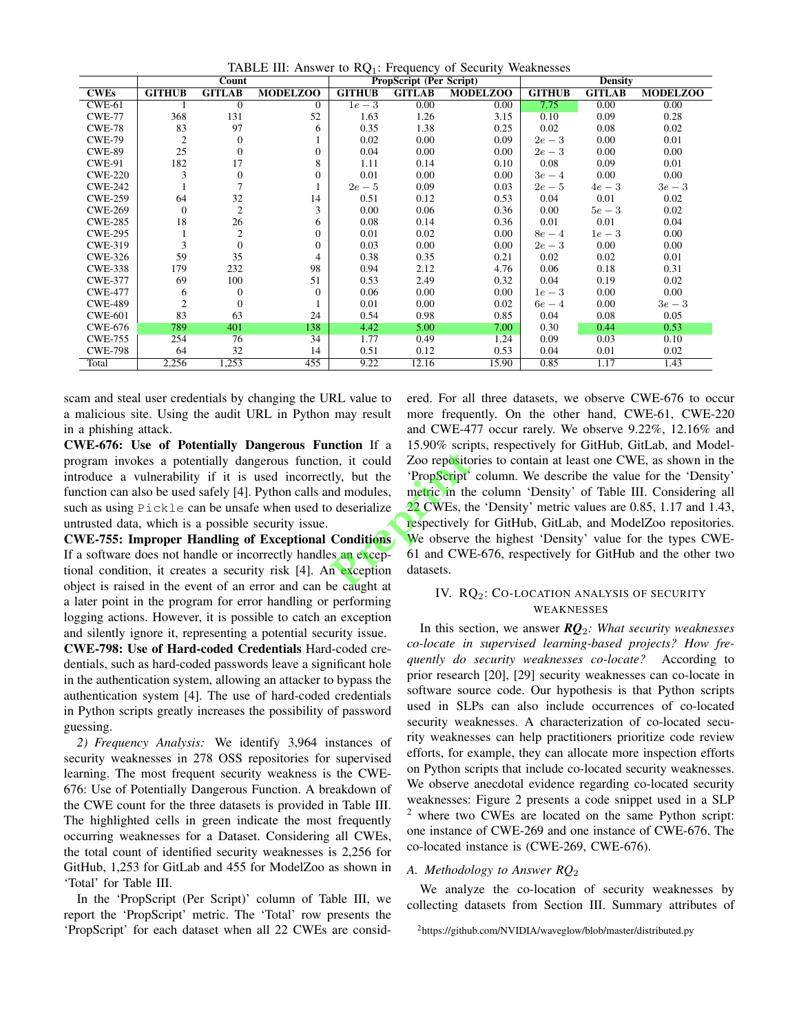TABLE III: Answer to  $RQ_1$ : Frequency of Security Weaknesses

|                |                | Count          |                 |               | PropScript (Per Script) |                 | <b>Density</b> |               |                 |  |  |
|----------------|----------------|----------------|-----------------|---------------|-------------------------|-----------------|----------------|---------------|-----------------|--|--|
| <b>CWEs</b>    | <b>GITHUB</b>  | <b>GITLAB</b>  | <b>MODELZOO</b> | <b>GITHUB</b> | <b>GITLAB</b>           | <b>MODELZOO</b> | <b>GITHUB</b>  | <b>GITLAB</b> | <b>MODELZOO</b> |  |  |
| $CWE-61$       |                | $\Omega$       | $\Omega$        | $1e-3$        | 0.00                    | 0.00            | 7.75           | 0.00          | 0.00            |  |  |
| <b>CWE-77</b>  | 368            | 131            | 52              | 1.63          | 1.26                    | 3.15            | 0.10           | 0.09          | 0.28            |  |  |
| <b>CWE-78</b>  | 83             | 97             | 6               | 0.35          | 1.38                    | 0.25            | 0.02           | 0.08          | 0.02            |  |  |
| <b>CWE-79</b>  | 2              | $\Omega$       |                 | 0.02          | 0.00                    | 0.09            | $2e-3$         | 0.00          | 0.01            |  |  |
| <b>CWE-89</b>  | 25             | $\Omega$       | $\overline{0}$  | 0.04          | 0.00                    | 0.00            | $2e-3$         | 0.00          | 0.00            |  |  |
| <b>CWE-91</b>  | 182            | 17             | 8               | 1.11          | 0.14                    | 0.10            | 0.08           | 0.09          | 0.01            |  |  |
| <b>CWE-220</b> | 3              | $\Omega$       | $\overline{0}$  | 0.01          | 0.00                    | 0.00            | $3e-4$         | 0.00          | 0.00            |  |  |
| <b>CWE-242</b> |                |                |                 | $2e-5$        | 0.09                    | 0.03            | $2e-5$         | $4e-3$        | $3e-3$          |  |  |
| <b>CWE-259</b> | 64             | 32             | 14              | 0.51          | 0.12                    | 0.53            | 0.04           | 0.01          | 0.02            |  |  |
| <b>CWE-269</b> | $\theta$       | $\overline{2}$ | 3               | 0.00          | 0.06                    | 0.36            | 0.00           | $5e-3$        | 0.02            |  |  |
| <b>CWE-285</b> | 18             | 26             | 6               | 0.08          | 0.14                    | 0.36            | 0.01           | 0.01          | 0.04            |  |  |
| <b>CWE-295</b> |                | 2              | $\overline{0}$  | 0.01          | 0.02                    | 0.00            | $8e-4$         | $1e-3$        | 0.00            |  |  |
| <b>CWE-319</b> | 3              | $\Omega$       | $\overline{0}$  | 0.03          | 0.00                    | 0.00            | $2e-3$         | 0.00          | 0.00            |  |  |
| <b>CWE-326</b> | 59             | 35             | 4               | 0.38          | 0.35                    | 0.21            | 0.02           | 0.02          | 0.01            |  |  |
| <b>CWE-338</b> | 179            | 232            | 98              | 0.94          | 2.12                    | 4.76            | 0.06           | 0.18          | 0.31            |  |  |
| <b>CWE-377</b> | 69             | 100            | 51              | 0.53          | 2.49                    | 0.32            | 0.04           | 0.19          | 0.02            |  |  |
| <b>CWE-477</b> | 6              | $\Omega$       | $\Omega$        | 0.06          | 0.00                    | 0.00            | $1e-3$         | 0.00          | 0.00            |  |  |
| <b>CWE-489</b> | $\overline{2}$ | $\Omega$       |                 | 0.01          | 0.00                    | 0.02            | $6e-4$         | 0.00          | $3e-3$          |  |  |
| <b>CWE-601</b> | 83             | 63             | 24              | 0.54          | 0.98                    | 0.85            | 0.04           | 0.08          | 0.05            |  |  |
| <b>CWE-676</b> | 789            | 401            | 138             | 4.42          | 5.00                    | 7.00            | 0.30           | 0.44          | 0.53            |  |  |
| <b>CWE-755</b> | 254            | 76             | 34              | 1.77          | 0.49                    | 1.24            | 0.09           | 0.03          | 0.10            |  |  |
| <b>CWE-798</b> | 64             | 32             | 14              | 0.51          | 0.12                    | 0.53            | 0.04           | 0.01          | 0.02            |  |  |
| Total          | 2,256          | 1,253          | 455             | 9.22          | 12.16                   | 15.90           | 0.85           | 1.17          | 1.43            |  |  |

scam and steal user credentials by changing the URL value to a malicious site. Using the audit URL in Python may result in a phishing attack.

CWE-676: Use of Potentially Dangerous Function If a program invokes a potentially dangerous function, it could introduce a vulnerability if it is used incorrectly, but the function can also be used safely [4]. Python calls and modules, such as using Pickle can be unsafe when used to deserialize untrusted data, which is a possible security issue.

**CWE-755: Improper Handling of Exceptional Conditions** If a software does not handle or incorrectly handles an exceptional condition, it creates a security risk [4]. An exception object is raised in the event of an error and can be caught at a later point in the program for error handling or performing logging actions. However, it is possible to catch an exception and silently ignore it, representing a potential security issue.

CWE-798: Use of Hard-coded Credentials Hard-coded credentials, such as hard-coded passwords leave a significant hole in the authentication system, allowing an attacker to bypass the authentication system [4]. The use of hard-coded credentials in Python scripts greatly increases the possibility of password guessing.

2) Frequency Analysis: We identify 3,964 instances of security weaknesses in 278 OSS repositories for supervised learning. The most frequent security weakness is the CWE-676: Use of Potentially Dangerous Function. A breakdown of the CWE count for the three datasets is provided in Table III. The highlighted cells in green indicate the most frequently occurring weaknesses for a Dataset. Considering all CWEs, the total count of identified security weaknesses is 2,256 for GitHub, 1,253 for GitLab and 455 for ModelZoo as shown in 'Total' for Table III.

In the 'PropScript (Per Script)' column of Table III, we report the 'PropScript' metric. The 'Total' row presents the 'PropScript' for each dataset when all 22 CWEs are considered. For all three datasets, we observe CWE-676 to occur more frequently. On the other hand, CWE-61, CWE-220 and CWE-477 occur rarely. We observe 9.22%, 12.16% and 15.90% scripts, respectively for GitHub, GitLab, and Model-Zoo repositories to contain at least one CWE, as shown in the 'PropScript' column. We describe the value for the 'Density' metric in the column 'Density' of Table III. Considering all 22 CWEs, the 'Density' metric values are 0.85, 1.17 and 1.43, respectively for GitHub, GitLab, and ModelZoo repositories. We observe the highest 'Density' value for the types CWE-61 and CWE-676, respectively for GitHub and the other two datasets.

# IV. RQ2: CO-LOCATION ANALYSIS OF SECURITY WEAKNESSES

In this section, we answer  $RQ_2$ : What security weaknesses co-locate in supervised learning-based projects? How frequently do security weaknesses co-locate? According to prior research [20], [29] security weaknesses can co-locate in software source code. Our hypothesis is that Python scripts used in SLPs can also include occurrences of co-located security weaknesses. A characterization of co-located security weaknesses can help practitioners prioritize code review efforts, for example, they can allocate more inspection efforts on Python scripts that include co-located security weaknesses. We observe anecdotal evidence regarding co-located security weaknesses: Figure 2 presents a code snippet used in a SLP where two CWEs are located on the same Python script: one instance of CWE-269 and one instance of CWE-676. The co-located instance is (CWE-269, CWE-676).

# A. Methodology to Answer  $RQ_2$

We analyze the co-location of security weaknesses by collecting datasets from Section III. Summary attributes of

<sup>&</sup>lt;sup>2</sup>https://github.com/NVIDIA/waveglow/blob/master/distributed.py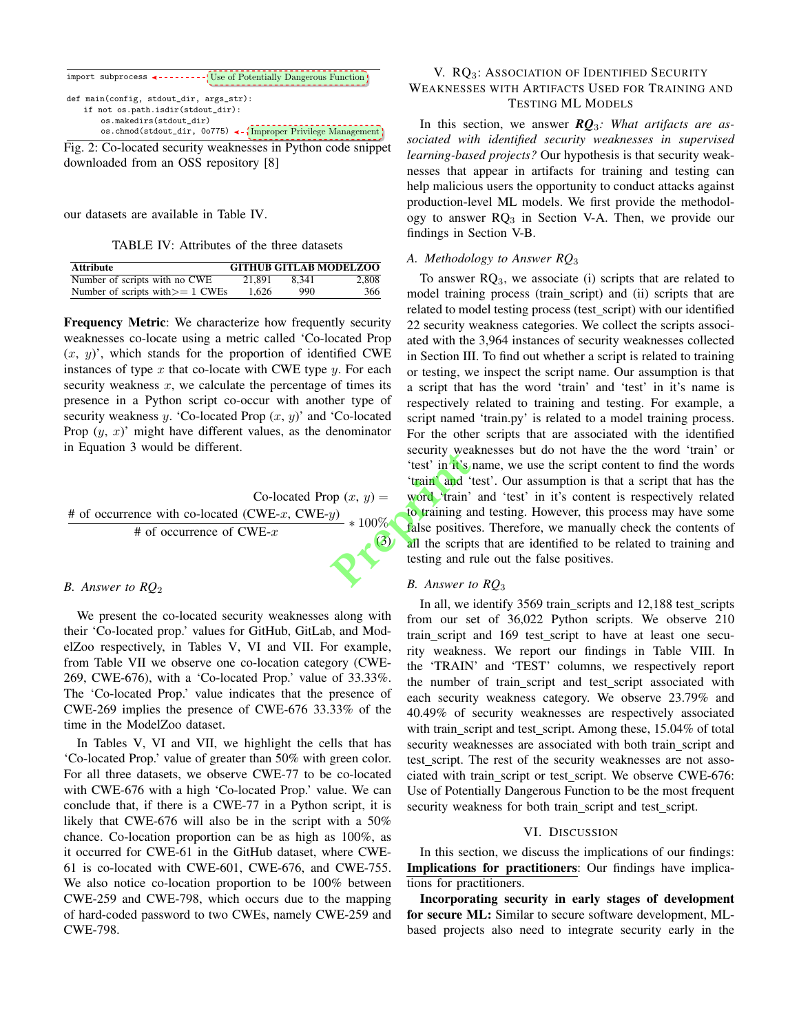

Fig. 2: Co-located security weaknesses in Python code snippet downloaded from an OSS repository [8]

our datasets are available in Table IV.

TABLE IV: Attributes of the three datasets

| <b>Attribute</b>                   |        |       | <b>GITHUB GITLAB MODELZOO</b> |
|------------------------------------|--------|-------|-------------------------------|
| Number of scripts with no CWE      | 21.891 | 8.341 | 2.808                         |
| Number of scripts with $>= 1$ CWEs | 1.626  | 990   | 366                           |

Frequency Metric: We characterize how frequently security weaknesses co-locate using a metric called 'Co-located Prop  $(x, y)$ , which stands for the proportion of identified CWE instances of type  $x$  that co-locate with CWE type  $y$ . For each security weakness  $x$ , we calculate the percentage of times its presence in a Python script co-occur with another type of security weakness  $y$ . 'Co-located Prop  $(x, y)$ ' and 'Co-located Prop  $(y, x)$ ' might have different values, as the denominator in Equation 3 would be different.

Co-located Prop  $(x, y)$  = # of occurrence with co-located (CWE-x, CWE-y)  $#$  of occurrence of CWE- $x$ ∗ 100% (3)

## *B. Answer to RQ*<sup>2</sup>

We present the co-located security weaknesses along with their 'Co-located prop.' values for GitHub, GitLab, and ModelZoo respectively, in Tables V, VI and VII. For example, from Table VII we observe one co-location category (CWE-269, CWE-676), with a 'Co-located Prop.' value of 33.33%. The 'Co-located Prop.' value indicates that the presence of CWE-269 implies the presence of CWE-676 33.33% of the time in the ModelZoo dataset.

In Tables V, VI and VII, we highlight the cells that has 'Co-located Prop.' value of greater than 50% with green color. For all three datasets, we observe CWE-77 to be co-located with CWE-676 with a high 'Co-located Prop.' value. We can conclude that, if there is a CWE-77 in a Python script, it is likely that CWE-676 will also be in the script with a 50% chance. Co-location proportion can be as high as 100%, as it occurred for CWE-61 in the GitHub dataset, where CWE-61 is co-located with CWE-601, CWE-676, and CWE-755. We also notice co-location proportion to be 100% between CWE-259 and CWE-798, which occurs due to the mapping of hard-coded password to two CWEs, namely CWE-259 and CWE-798.

# V. RQ<sub>3</sub>: ASSOCIATION OF IDENTIFIED SECURITY WEAKNESSES WITH ARTIFACTS USED FOR TRAINING AND TESTING ML MODELS

In this section, we answer *RQ*3*: What artifacts are associated with identified security weaknesses in supervised learning-based projects?* Our hypothesis is that security weaknesses that appear in artifacts for training and testing can help malicious users the opportunity to conduct attacks against production-level ML models. We first provide the methodology to answer  $RQ_3$  in Section V-A. Then, we provide our findings in Section V-B.

## *A. Methodology to Answer RQ*<sup>3</sup>

To answer  $RQ_3$ , we associate (i) scripts that are related to model training process (train\_script) and (ii) scripts that are related to model testing process (test\_script) with our identified 22 security weakness categories. We collect the scripts associated with the 3,964 instances of security weaknesses collected in Section III. To find out whether a script is related to training or testing, we inspect the script name. Our assumption is that a script that has the word 'train' and 'test' in it's name is respectively related to training and testing. For example, a script named 'train.py' is related to a model training process. For the other scripts that are associated with the identified security weaknesses but do not have the the word 'train' or 'test' in it's name, we use the script content to find the words 'train' and 'test'. Our assumption is that a script that has the word 'train' and 'test' in it's content is respectively related to training and testing. However, this process may have some false positives. Therefore, we manually check the contents of all the scripts that are identified to be related to training and testing and rule out the false positives. **Propriet Allen Contains Security West**<br> **Prepriet Allen Contains and Allen Containing a**<br> **Prepriet Allen Containing a**<br> **Prepriet Allen Containing a**<br> **Prepriet Allen Containing a**<br> **Prepriet Allen Containing and Transf** 

#### *B. Answer to RQ*<sup>3</sup>

In all, we identify 3569 train scripts and 12,188 test scripts from our set of 36,022 Python scripts. We observe 210 train script and 169 test script to have at least one security weakness. We report our findings in Table VIII. In the 'TRAIN' and 'TEST' columns, we respectively report the number of train\_script and test\_script associated with each security weakness category. We observe 23.79% and 40.49% of security weaknesses are respectively associated with train\_script and test\_script. Among these, 15.04% of total security weaknesses are associated with both train\_script and test\_script. The rest of the security weaknesses are not associated with train\_script or test\_script. We observe CWE-676: Use of Potentially Dangerous Function to be the most frequent security weakness for both train\_script and test\_script.

#### VI. DISCUSSION

In this section, we discuss the implications of our findings: Implications for practitioners: Our findings have implications for practitioners.

Incorporating security in early stages of development for secure ML: Similar to secure software development, MLbased projects also need to integrate security early in the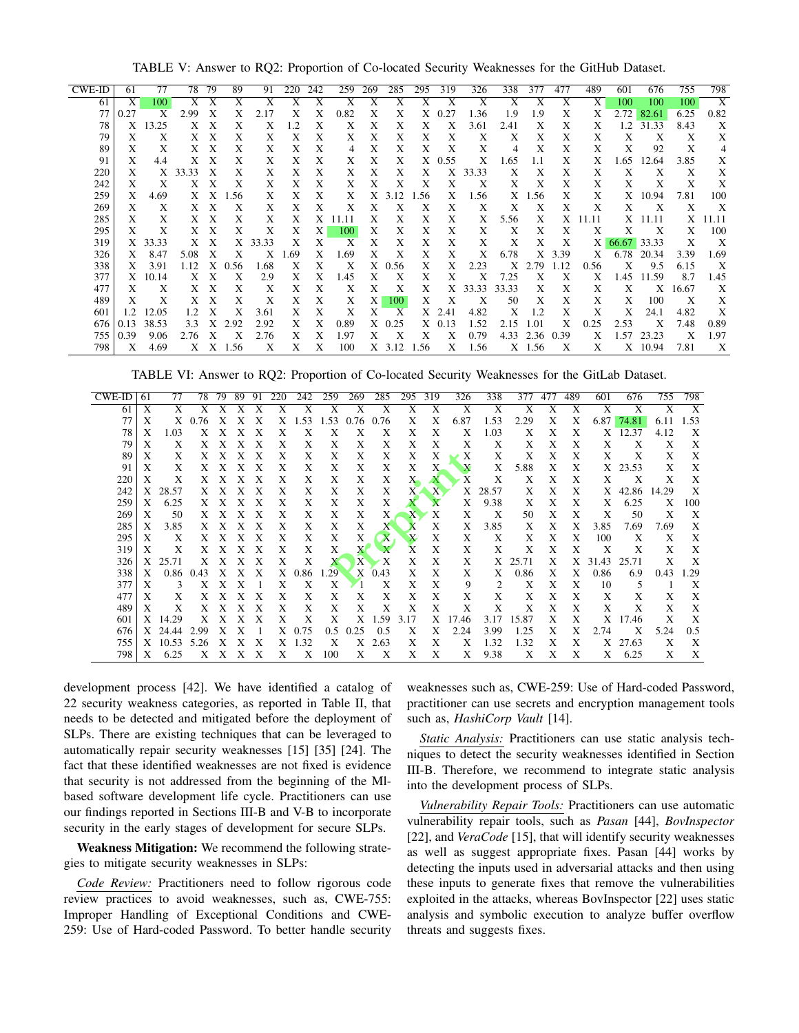TABLE V: Answer to RQ2: Proportion of Co-located Security Weaknesses for the GitHub Dataset.

| <b>CWE-ID</b> | 61   | 77             | 78      | 79                        | 89               | 91           | 220 | 242          | 259   | 269 | 285                       | 295  | 319      | 326                       | 338   | 377            | 477  | 489            | 601   | 676                       | 755                       | 798                       |
|---------------|------|----------------|---------|---------------------------|------------------|--------------|-----|--------------|-------|-----|---------------------------|------|----------|---------------------------|-------|----------------|------|----------------|-------|---------------------------|---------------------------|---------------------------|
| 61            | X    | 100            | X       | X                         | X                | X            | X   | X            | X     | X   | X                         | X    | X        | X                         | X     | X              | X    | X              | 100   | 100                       | 100                       | X                         |
| 77            | 0.27 | X              | 2.99    | Х                         | X                | 2.17         | X   | X            | 0.82  | X   | X                         | X    | 0.27     | 1.36                      | 1.9   | 1.9            | X    | X              | 2.72  | 82.61                     | 6.25                      | 0.82                      |
| 78            |      | X 13.25        | X       | X                         | X                | X            | 1.2 | X            | X     | X   | X                         | X    | X        | 3.61                      | 2.41  | X              | X    | X              | 1.2   | 31.33                     | 8.43                      | X                         |
| 79            | X    | Х              | X       | X                         | X                | X            | X   | X            | X     | X   | X                         | Χ    | X        | X                         | Х     | Χ              | X    | X              | Х     | X                         | X                         | X                         |
| 89            | X    | X              | X       | $\boldsymbol{\mathrm{X}}$ | X                | X            | X   | X            | 4     | X   | Χ                         | X    | X        | X                         | 4     | Χ              | X    | X              | Х     | 92                        | X                         | 4                         |
| 91            | Χ    | 4.4            | X       | X                         | X                | X            | X   | X            | X     | Χ   | X                         |      | $X$ 0.55 | X                         | 1.65  | 1.1            | X    | X              | 1.65  | 12.64                     | 3.85                      | X                         |
| 220           | X    |                | X 33.33 | X                         | Χ                | X            | X   | X            | X     | Χ   | X                         | X    | X        | 33.33                     | Х     | X              | X    | Χ              | X     | X                         | X                         | X                         |
| 242           | X    | X              |         | X X                       | X                | X            | X   | X            | X     | X   | X                         | X    | X        | X                         | X     | X              | X    | Χ              | X     | X                         | Χ                         | X                         |
| 259           | X    | 4.69           | X       | X                         | 1.56             | X            | X   | X            | X     |     | $X$ 3.12                  | 1.56 | X        | 1.56                      |       | X 1.56         | X    | X              | X     | 10.94                     | 7.81                      | 100                       |
| 269           | Χ    | X              | X       | X                         | Χ                | X            | X   | X            | X     | X   | X                         | X    | X        | X                         | X     | X              | X    | X              | X     | $\boldsymbol{\mathrm{X}}$ | X                         | $\boldsymbol{\mathrm{X}}$ |
| 285           | X    | X              | X       | X                         | X                | X            | X   | X            | 11.11 | X   | X                         | X    | X        | X                         | 5.56  | X              | X    | 11.11          | X     | 11.11                     | X                         | 11.11                     |
| 295           | X    | Х              | X       | Χ                         | X                | X            | Χ   | X            | 100   | Х   | X                         | Χ    | X        | X                         | Χ     | X              | X    | X              | Х     | X                         | X                         | 100                       |
| 319           |      | X 33.33        |         | X X                       |                  | X 33.33      | X   | X            | X     | X   | X                         | X    | X        | X                         | X     | X              | X    | X <sub>1</sub> | 66.67 | 33.33                     | X                         | $\boldsymbol{\mathrm{X}}$ |
| 326           | X    | 8.47           | 5.08    | X                         | X                | X            | .69 | X            | 1.69  | X   | X                         | X    | X        | X                         | 6.78  | X              | 3.39 | X              | 6.78  | 20.34                     | 3.39                      | 1.69                      |
| 338           | X    | 3.91           | 1.12    | X                         | 0.56             | 1.68         | Х   | X            | X     | X   | 0.56                      | X    | Χ        | 2.23                      | X     | 2.79           | 1.12 | 0.56           | X     | 9.5                       | 6.15                      | $\boldsymbol{\mathrm{X}}$ |
| 377           |      | X 10.14        | X       | X                         | Χ                | 2.9          | Χ   | X            | 1.45  | X   | Χ                         | Χ    | Χ        | X                         | 7.25  | X              | Χ    | X              | 1.45  | 11.59                     | 8.7                       | 1.45                      |
| 477           | X    | X              | Χ       | X                         | X                | X            | Х   | X            | X     | Χ   | X                         | X    | X        | 33.33                     | 33.33 | Χ              | X    | X              | X     | X                         | 16.67                     | X                         |
| 489           | X    | X              | X.      | X                         | X                | X            | X   | X            | X     | X   | 100                       | X    | X        | $\boldsymbol{\mathrm{X}}$ | 50    | X              | X    | X              | X     | 100                       | $\boldsymbol{\mathrm{X}}$ | X                         |
| 601           | 1.2  | 12.05          | 1.2     | X                         | X                | 3.61         | X   | X            | X     | X   | X                         |      | X 2.41   | 4.82                      | X     | 1.2            | X    | X              | Х     | 24.1                      | 4.82                      | X                         |
| 676           | 0.13 | 38.53          | 3.3     | X                         | 2.92             | 2.92         | X   | X            | 0.89  |     | $X$ 0.25                  |      | $X$ 0.13 | 1.52                      | 2.15  | 1.01           | X    | 0.25           | 2.53  | X                         | 7.48                      | 0.89                      |
| 755           | 0.39 | 9.06           | 2.76    | X                         | $\boldsymbol{X}$ | 2.76         | X   | X            | 1.97  | X   | $\boldsymbol{\mathrm{X}}$ | X    | X        | 0.79                      |       | 4.33 2.36 0.39 |      | X              | 1.57  | 23.23                     | X                         | 1.97                      |
| 709 l         | Y    | $\triangle$ 60 |         |                           | $V$ $V$ 1.56     | $\mathbf{v}$ | Y   | $\mathbf{V}$ | 100   |     |                           |      |          | $Y$ 3.12 1.56 $Y$ 1.56    |       | $Y$ 156 $Y$    |      | Y              |       | $Y = 10.04$               | 7 9 1                     | $\mathbf{V}$              |

TABLE VI: Answer to RQ2: Proportion of Co-located Security Weaknesses for the GitLab Dataset.

| <b>CWE-ID</b> | 61                        | 77    | 78   | 79 | 89 | 91 | 220 | 242  | 259  | 269  | 285  | 295                    | 319          | 326   | 338   | 377   | 477 | 489 | 601   | 676   | 755   | 798            |
|---------------|---------------------------|-------|------|----|----|----|-----|------|------|------|------|------------------------|--------------|-------|-------|-------|-----|-----|-------|-------|-------|----------------|
| 61            | $\overline{X}$            | X     |      |    |    |    |     | X    | Х    | Х    | X    | X                      | Х            | X     | Х     | X     | X   | X   | X     | Х     | X     | $\overline{X}$ |
| 77            | X                         | X     | 0.76 |    |    | Х  | X   | .53  | 1.53 | 0.76 | 0.76 | X                      | X            | 6.87  | 1.53  | 2.29  | X   | X   | 6.87  | 74.81 | 6.11  | 1.53           |
| 78            | X                         | 1.03  | X    | X  | X  | Х  | X   | X    | X    | X    | X    | X                      | X            | X     | 1.03  | Х     | X   | X   | Χ     | 12.37 | 4.12  | X              |
| 79            | X                         | X     | Χ    | Χ  | Х  | X  | X   | Х    | Х    | X    | X    | X                      | X            | X     | X     | Х     | X   | X   | X     | Х     | X     | X              |
| 89            | X                         | X     | X    | X  | Х  | Х  | X   | X    | X    | X    | X    | Χ                      | X            | X     | X     | Х     | X   | X   | X     | X     | X     | X              |
| 91            | X                         | X     | X    | X  | X  | X  | X   | X    | X    | X    | Χ    | X                      | Х            | X     | X     | 5.88  | X   | X   | X     | 23.53 | X     | X              |
| 220           | X                         | X     | Χ    | Χ  | Х  | Х  | X   | X    | X    | X    | X    | $X_{-}$                |              | X     | Х     | Х     | X   | X   | X     | X     | X     | X              |
| 242           | X                         | 28.57 | X    | X  | Χ  | X  | X   | Х    | X    | X    | X    | X                      | $\mathbf{X}$ | X     | 28.57 | X     | X   | X   | X     | 42.86 | 14.29 | X              |
| 259           | X                         | 6.25  | Χ    | X  | Х  | X  | X   | Х    | X    | X    | X    |                        | A            | X     | 9.38  | Х     | X   | X   | X     | 6.25  | X     | 100            |
| 269           | $\boldsymbol{\mathrm{X}}$ | 50    | Χ    | Χ  | Х  | Х  | X   | X    | X    | X    | X    | $\mathbf{X}^{\bullet}$ | X            | Х     | X     | 50    | X   | X   | X     | 50    | X     | X              |
| 285           | X                         | 3.85  | X    | Х  | X  | X  | X   | X    | X    | X    | X    | л                      | X            | X     | 3.85  | Х     | X   | X   | 3.85  | 7.69  | 7.69  | X              |
| 295           | X                         | Χ     | Χ    |    | Х  |    | X   | X    | X    | X    | X    | $\mathbf x$            | X            | X     | X     | Х     | X   | X   | 100   | X     | X     | X              |
| 319           | X                         | X     | X    | Х  | Х  | Х  | X   | X    | X    | X    |      | X                      | X            | X     | X     | X     | X   | X   | Х     | X     | X     | X              |
| 326           | X                         | 25.71 | Χ    | Χ  | X  | X  | X   | Х    |      | X    | X    | X                      | X            | X     | X     | 25.71 | X   | X   | 31.43 | 25.71 | Х     | X              |
| 338           | X                         | 0.86  | 0.43 |    | X  | Х  | X   | 0.86 | .29  | X    | 0.43 | X                      | X            | X     | X     | 0.86  | X   | X   | 0.86  | 6.9   | 0.43  | .29            |
| 377           | X                         | 3     | X    |    | х  |    | X   | X    | Х    |      | X    | X                      | X            | 9     | 2     | Х     | X   | X   | 10    | 5     |       | X              |
| 477           | X                         | X     | X    |    | х  |    | X   | X    | X    | X    | X    | X                      | X            | X     | Х     | Х     | X   | X   | X     | X     | X     | X              |
| 489           | X                         | X     | Х    | Х  | X  | Х  | X   | X    | X    | X    | X    | X                      | X            | X     | X     | Х     | X   | X   | X     | X     | X     | X              |
| 601           | X                         | 14.29 | X    | Х  | х  | Х  | X   | Х    | X    | X    | 1.59 | 3.17                   | X            | 17.46 | 3.17  | 15.87 | X   | X   | X     | 17.46 | X     | X              |
| 676           |                           | 24.44 | 2.99 |    |    |    | X   | 0.75 | 0.5  | 0.25 | 0.5  | X                      | X            | 2.24  | 3.99  | 1.25  | X   | X   | 2.74  | X     | 5.24  | 0.5            |
| 755           | X                         | 10.53 | 5.26 | X  | х  | Х  | X   | 1.32 | X    | Χ    | 2.63 | X                      | X            | X     | 1.32  | 1.32  | X   | X   | X     | 27.63 | X     | X              |
| 798           | X                         | 6.25  | Χ    | Χ  | Х  | Х  | X   | X    | 100  | X    | Х    | X                      | X            | X     | 9.38  | X     | X   | X   | X     | 6.25  | X     | X              |

development process [42]. We have identified a catalog of 22 security weakness categories, as reported in Table II, that needs to be detected and mitigated before the deployment of SLPs. There are existing techniques that can be leveraged to automatically repair security weaknesses [15] [35] [24]. The fact that these identified weaknesses are not fixed is evidence that security is not addressed from the beginning of the MIbased software development life cycle. Practitioners can use our findings reported in Sections III-B and V-B to incorporate security in the early stages of development for secure SLPs.

Weakness Mitigation: We recommend the following strategies to mitigate security weaknesses in SLPs:

Code Review: Practitioners need to follow rigorous code review practices to avoid weaknesses, such as, CWE-755: Improper Handling of Exceptional Conditions and CWE-259: Use of Hard-coded Password. To better handle security

weaknesses such as, CWE-259: Use of Hard-coded Password, practitioner can use secrets and encryption management tools such as, *HashiCorp Vault* [14].

Static Analysis: Practitioners can use static analysis techniques to detect the security weaknesses identified in Section III-B. Therefore, we recommend to integrate static analysis into the development process of SLPs.

Vulnerability Repair Tools: Practitioners can use automatic vulnerability repair tools, such as Pasan [44], BovInspector [22], and VeraCode [15], that will identify security weaknesses as well as suggest appropriate fixes. Pasan [44] works by detecting the inputs used in adversarial attacks and then using these inputs to generate fixes that remove the vulnerabilities exploited in the attacks, whereas BovInspector [22] uses static analysis and symbolic execution to analyze buffer overflow threats and suggests fixes.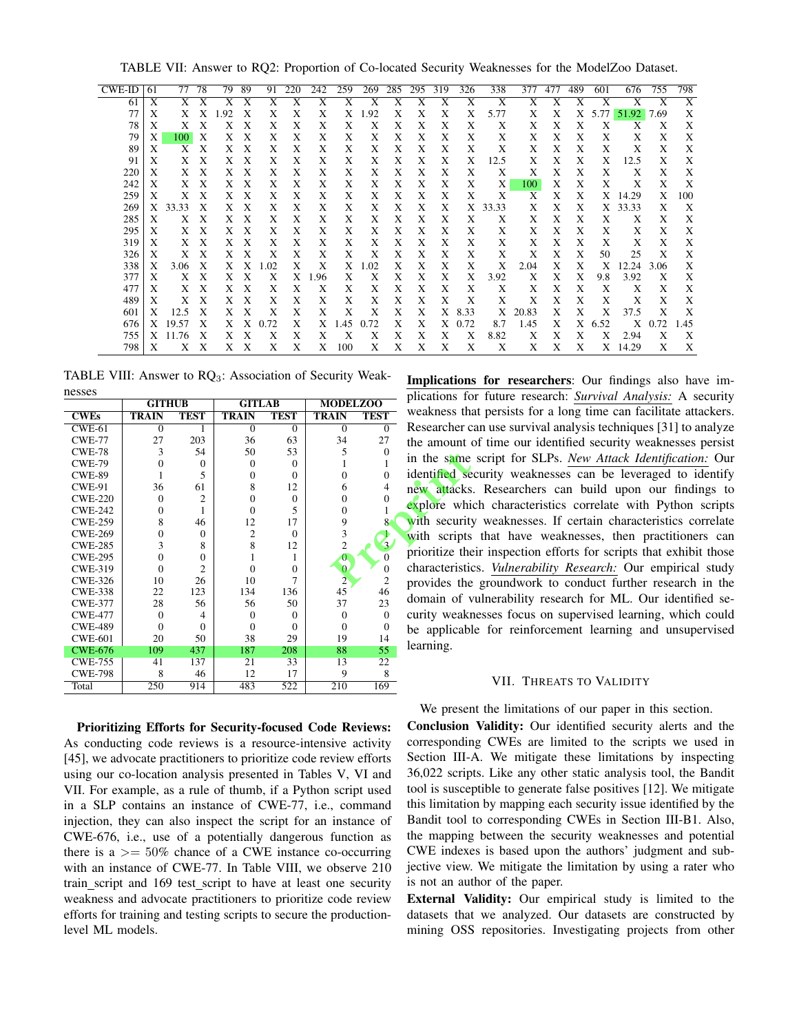TABLE VII: Answer to RQ2: Proportion of Co-located Security Weaknesses for the ModelZoo Dataset.

| CWE-ID | 61 | 77    | 78                        | 79  | 89 | 91   | 220 | 242  | 259  | 269  | 285 | 295 | 319 | 326  | 338   | 377   | 477 | 489 | 601  | 676   | 755  | 798                       |
|--------|----|-------|---------------------------|-----|----|------|-----|------|------|------|-----|-----|-----|------|-------|-------|-----|-----|------|-------|------|---------------------------|
| 61     | X  |       |                           |     | Х  | X    | Х   | X    | X    | X    | X   | X   | X   | X    | X     | X     | X   | X   | X    | X     | X    | $\boldsymbol{\mathrm{X}}$ |
| 77     | X  |       |                           | .92 | Х  | X    | X   | X    | Χ    | 1.92 | X   | Χ   | X   | X    | 5.77  | X     | X   | X   | 5.77 | 51.92 | 7.69 | X                         |
| 78     | X  | X     | X                         | X   | X  | X    | X   | X    | X    | Χ    | X   | X   | X   | X    | X     | Χ     | X   | X   | X    | X     | X    | X                         |
| 79     | X  | 100   | X                         | X   | X  | X    | X   | X    | X    | X    | X   | X   | X   | X    | X     | X     | Х   | X   | X    | X     | X    | X                         |
| 89     | X  | X     | X                         | X   | X  | X    | X   | X    | X    | X    | X   | Х   | X   | X    | X     | X     | X   | X   | X    | X     | X    | X                         |
| 91     | X  | X     | X                         | X   | X  | X    | X   | X    | X    | Χ    | X   | X   | Χ   | X    | 12.5  | Χ     | X   | X   | X    | 12.5  | X    | X                         |
| 220    | X  | X     | X                         | X   | X  | X    | X   | X    | X    | X    | X   | X   | X   | X    | X     | X     | X   | X   | X    | X     | X    | X                         |
| 242    | X  | X     | X                         | Χ   | X  | X    | X   | X    | X    | Χ    | X   | X   | X   | X    | X     | 100   | X   | X   | X    | X     | X    | X                         |
| 259    | X  | X     | X                         | X   | X  | X    | X   | X    | X    | X    | X   | X   | X   | X    | X     | Х     | X   | X   | X    | 14.29 | X    | 100                       |
| 269    | X  | 33.33 | X                         | X   | X  | X    | X   | X    | X    | X    | X   | X   | X   | X    | 33.33 | X     | Х   | X   | X    | 33.33 | X    | X                         |
| 285    | X  | X     | X                         | X   | X  | X    | X   | X    | X    | X    | X   | X   | X   | X    | X     | X     | X   | X   | X    | X     | X    | X                         |
| 295    | Χ  | X     | X                         | X   | X  | X    | X   | Χ    | Χ    | Χ    | Χ   | X   | X   | X    | Χ     | Χ     | X   | X   | Χ    | X     | X    | X                         |
| 319    | X  | X     | X                         | X   | X  | X    | X   | X    | X    | X    | X   | X   | X   | X    | X     | X     | X   | X   | X    | X     | X    | X                         |
| 326    | X  | X     | X                         | Χ   | X  | Х    | X   | X    | X    | X    | X   | X   | X   | X    | Χ     | X     | X   | X   | 50   | 25    | X    | X                         |
| 338    | X  | 3.06  | X                         | X   | X  | .02  | X   | X    | X    | 1.02 | X   | X   | X   | X    | X     | 2.04  | X   | X   | X    | 12.24 | 3.06 | X                         |
| 377    | X  | X     | X                         | X   | X  | X    | X   | 1.96 | X    | Χ    | Χ   | Χ   | X   | X    | 3.92  | X     | X   | X   | 9.8  | 3.92  | X    | X                         |
| 477    | X  | X     | X                         | X   | X  | X    | X   | X    | X    | X    | X   | X   | X   | X    | X     | X     | X   | X   | X    | X     | X    | X                         |
| 489    | X  | X     | X                         | Χ   | X  | X    | X   | X    | X    | X    | X   | X   | X   | X    | X     | X     | X   | X   | X    | X     | X    | X                         |
| 601    | X  | 12.5  | X                         | X   | X  | X    | X   | X    | X    | X    | X   | X   | X   | 8.33 | X     | 20.83 | X   | X   | X    | 37.5  | X    | X                         |
| 676    | X  | 19.57 | X                         | X   | Χ  | 0.72 | X   | X    | 1.45 | 0.72 | X   | X   | X   | 0.72 | 8.7   | 1.45  | X   | X   | 6.52 | X     | 0.72 | 1.45                      |
| 755    | X  | 11.76 | $\boldsymbol{\mathrm{X}}$ | X   | X  | X    | X   | X    | X    | Х    | X   | X   | X   | X    | 8.82  | Χ     | X   | X   | X    | 2.94  | X    | $\boldsymbol{\mathrm{X}}$ |
| 798    | X  | X     | X                         | X   | X  | X    | X   | X    | 100  | X    | X   | X   | X   | X    | X     | X     | X   | X   | X    | 14.29 | X    | X                         |

TABLE VIII: Answer to RQ<sub>3</sub>: Association of Security Weaknesses

|                | <b>GITHUB</b>  |                | <b>GITLAB</b>  |                | <b>MODELZOO</b> |                |
|----------------|----------------|----------------|----------------|----------------|-----------------|----------------|
| <b>CWEs</b>    | <b>TRAIN</b>   | <b>TEST</b>    | <b>TRAIN</b>   | <b>TEST</b>    | <b>TRAIN</b>    | <b>TEST</b>    |
| $CWE-61$       | $\overline{0}$ | 1              | $\theta$       | $\mathbf{0}$   | $\theta$        | $\overline{0}$ |
| <b>CWE-77</b>  | 27             | 203            | 36             | 63             | 34              | 27             |
| $CWE-78$       | 3              | 54             | 50             | 53             | 5               | $\theta$       |
| <b>CWE-79</b>  | $\theta$       | $\theta$       | $\Omega$       | $\theta$       | 1               |                |
| <b>CWE-89</b>  | 1              | 5              | $\mathbf{0}$   | $\theta$       | $\theta$        | 0              |
| $CWE-91$       | 36             | 61             | 8              | 12             | 6               | $\overline{4}$ |
| <b>CWE-220</b> | $\overline{0}$ | 2              | $\mathbf{0}$   | $\overline{0}$ | $\theta$        | 0              |
| <b>CWE-242</b> | $\theta$       |                | $\Omega$       | 5              | 0               |                |
| <b>CWE-259</b> | 8              | 46             | 12             | 17             | 9               | 8              |
| <b>CWE-269</b> | $\theta$       | $\theta$       | $\overline{2}$ | $\theta$       | 3               |                |
| <b>CWE-285</b> | 3              | 8              | 8              | 12             | $\overline{c}$  | 3              |
| <b>CWE-295</b> | $\theta$       | $\Omega$       | 1              | 1              | 0               | $\Omega$       |
| <b>CWE-319</b> | $\theta$       | $\overline{c}$ | $\theta$       | $\theta$       | $\overline{0}$  | $\Omega$       |
| <b>CWE-326</b> | 10             | 26             | 10             | 7              | $\overline{2}$  | $\overline{2}$ |
| <b>CWE-338</b> | 22             | 123            | 134            | 136            | 45              | 46             |
| <b>CWE-377</b> | 28             | 56             | 56             | 50             | 37              | 23             |
| <b>CWE-477</b> | $\theta$       | 4              | $\theta$       | $\Omega$       | $\theta$        | $\theta$       |
| <b>CWE-489</b> | $\theta$       | $\theta$       | $\theta$       | $\theta$       | $\theta$        | 0              |
| <b>CWE-601</b> | 20             | 50             | 38             | 29             | 19              | 14             |
| <b>CWE-676</b> | 109            | 437            | 187            | 208            | 88              | 55             |
| <b>CWE-755</b> | 41             | 137            | 21             | 33             | 13              | 22             |
| <b>CWE-798</b> | 8              | 46             | 12             | 17             | 9               | 8              |
| Total          | 250            | 914            | 483            | 522            | 210             | 169            |

Prioritizing Efforts for Security-focused Code Reviews: As conducting code reviews is a resource-intensive activity [45], we advocate practitioners to prioritize code review efforts using our co-location analysis presented in Tables V, VI and VII. For example, as a rule of thumb, if a Python script used in a SLP contains an instance of CWE-77, *i.e.*, command injection, they can also inspect the script for an instance of CWE-676, i.e., use of a potentially dangerous function as there is a  $\ge$  = 50% chance of a CWE instance co-occurring with an instance of CWE-77. In Table VIII, we observe 210 train\_script and 169 test\_script to have at least one security weakness and advocate practitioners to prioritize code review efforts for training and testing scripts to secure the productionlevel ML models.

Implications for researchers: Our findings also have implications for future research: Survival Analysis: A security weakness that persists for a long time can facilitate attackers. Researcher can use survival analysis techniques [31] to analyze the amount of time our identified security weaknesses persist in the same script for SLPs. New Attack Identification: Our identified security weaknesses can be leveraged to identify new attacks. Researchers can build upon our findings to explore which characteristics correlate with Python scripts with security weaknesses. If certain characteristics correlate with scripts that have weaknesses, then practitioners can prioritize their inspection efforts for scripts that exhibit those characteristics. Vulnerability Research: Our empirical study provides the groundwork to conduct further research in the domain of vulnerability research for ML. Our identified security weaknesses focus on supervised learning, which could be applicable for reinforcement learning and unsupervised learning.

## VII. THREATS TO VALIDITY

We present the limitations of our paper in this section.

Conclusion Validity: Our identified security alerts and the corresponding CWEs are limited to the scripts we used in Section III-A. We mitigate these limitations by inspecting 36,022 scripts. Like any other static analysis tool, the Bandit tool is susceptible to generate false positives [12]. We mitigate this limitation by mapping each security issue identified by the Bandit tool to corresponding CWEs in Section III-B1. Also, the mapping between the security weaknesses and potential CWE indexes is based upon the authors' judgment and subjective view. We mitigate the limitation by using a rater who is not an author of the paper.

**External Validity:** Our empirical study is limited to the datasets that we analyzed. Our datasets are constructed by mining OSS repositories. Investigating projects from other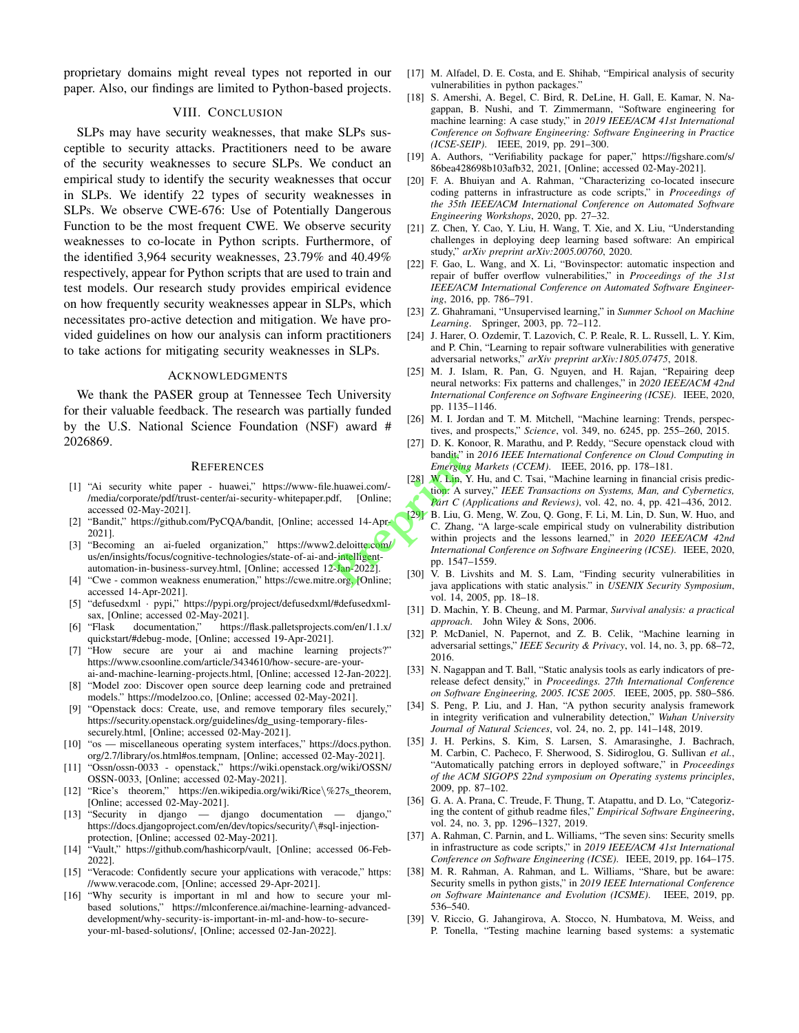proprietary domains might reveal types not reported in our paper. Also, our findings are limited to Python-based projects.

## VIII. CONCLUSION

SLPs may have security weaknesses, that make SLPs susceptible to security attacks. Practitioners need to be aware of the security weaknesses to secure SLPs. We conduct an empirical study to identify the security weaknesses that occur in SLPs. We identify 22 types of security weaknesses in SLPs. We observe CWE-676: Use of Potentially Dangerous Function to be the most frequent CWE. We observe security weaknesses to co-locate in Python scripts. Furthermore, of the identified 3,964 security weaknesses, 23.79% and 40.49% respectively, appear for Python scripts that are used to train and test models. Our research study provides empirical evidence on how frequently security weaknesses appear in SLPs, which necessitates pro-active detection and mitigation. We have provided guidelines on how our analysis can inform practitioners to take actions for mitigating security weaknesses in SLPs.

# ACKNOWLEDGMENTS

We thank the PASER group at Tennessee Tech University for their valuable feedback. The research was partially funded by the U.S. National Science Foundation (NSF) award # 2026869.

#### **REFERENCES**

- [1] "Ai security white paper huawei," https://www-file.huawei.com/- /media/corporate/pdf/trust-center/ai-security-whitepaper.pdf, [Online; accessed 02-May-2021].
- [2] "Bandit," https://github.com/PyCQA/bandit, [Online; accessed 14-Apr-2021].
- [3] "Becoming an ai-fueled organization," https://www2.deloitte.com/ us/en/insights/focus/cognitive-technologies/state-of-ai-and-intelligentautomation-in-business-survey.html, [Online; accessed 12-Jan-2022].
- [4] "Cwe common weakness enumeration," https://cwe.mitre.org, [Online; accessed 14-Apr-2021].
- [5] "defusedxml · pypi," https://pypi.org/project/defusedxml/#defusedxmlsax, [Online; accessed 02-May-2021].<br>[6] "Flask documentation," https://
- documentation," https://flask.palletsprojects.com/en/1.1.x/ quickstart/#debug-mode, [Online; accessed 19-Apr-2021].
- [7] "How secure are your ai and machine learning projects?" https://www.csoonline.com/article/3434610/how-secure-are-your-
- ai-and-machine-learning-projects.html, [Online; accessed 12-Jan-2022]. [8] "Model zoo: Discover open source deep learning code and pretrained models." https://modelzoo.co, [Online; accessed 02-May-2021].
- "Openstack docs: Create, use, and remove temporary files securely," https://security.openstack.org/guidelines/dg\_using-temporary-filessecurely.html, [Online; accessed 02-May-2021].
- [10] "os miscellaneous operating system interfaces," https://docs.python. org/2.7/library/os.html#os.tempnam, [Online; accessed 02-May-2021].
- [11] "Ossn/ossn-0033 openstack," https://wiki.openstack.org/wiki/OSSN/ OSSN-0033, [Online; accessed 02-May-2021].
- [12] "Rice's theorem," https://en.wikipedia.org/wiki/Rice\%27s\_theorem, [Online; accessed 02-May-2021].
- [13] "Security in django django documentation django," https://docs.djangoproject.com/en/dev/topics/security/\#sql-injectionprotection, [Online; accessed 02-May-2021].
- [14] "Vault," https://github.com/hashicorp/vault, [Online; accessed 06-Feb-2022].
- [15] "Veracode: Confidently secure your applications with veracode," https: //www.veracode.com, [Online; accessed 29-Apr-2021].
- [16] "Why security is important in ml and how to secure your mlbased solutions," https://mlconference.ai/machine-learning-advanceddevelopment/why-security-is-important-in-ml-and-how-to-secureyour-ml-based-solutions/, [Online; accessed 02-Jan-2022].
- [17] M. Alfadel, D. E. Costa, and E. Shihab, "Empirical analysis of security vulnerabilities in python packages."
- [18] S. Amershi, A. Begel, C. Bird, R. DeLine, H. Gall, E. Kamar, N. Nagappan, B. Nushi, and T. Zimmermann, "Software engineering for machine learning: A case study," in *2019 IEEE/ACM 41st International Conference on Software Engineering: Software Engineering in Practice (ICSE-SEIP)*. IEEE, 2019, pp. 291–300.
- [19] A. Authors, "Verifiability package for paper," https://figshare.com/s/ 86bea428698b103afb32, 2021, [Online; accessed 02-May-2021].
- [20] F. A. Bhuiyan and A. Rahman, "Characterizing co-located insecure coding patterns in infrastructure as code scripts," in *Proceedings of the 35th IEEE/ACM International Conference on Automated Software Engineering Workshops*, 2020, pp. 27–32.
- [21] Z. Chen, Y. Cao, Y. Liu, H. Wang, T. Xie, and X. Liu, "Understanding challenges in deploying deep learning based software: An empirical study," *arXiv preprint arXiv:2005.00760*, 2020.
- [22] F. Gao, L. Wang, and X. Li, "Bovinspector: automatic inspection and repair of buffer overflow vulnerabilities," in *Proceedings of the 31st IEEE/ACM International Conference on Automated Software Engineering*, 2016, pp. 786–791.
- [23] Z. Ghahramani, "Unsupervised learning," in *Summer School on Machine Learning*. Springer, 2003, pp. 72–112.
- [24] J. Harer, O. Ozdemir, T. Lazovich, C. P. Reale, R. L. Russell, L. Y. Kim, and P. Chin, "Learning to repair software vulnerabilities with generative adversarial networks," *arXiv preprint arXiv:1805.07475*, 2018.
- [25] M. J. Islam, R. Pan, G. Nguyen, and H. Rajan, "Repairing deep neural networks: Fix patterns and challenges," in *2020 IEEE/ACM 42nd International Conference on Software Engineering (ICSE)*. IEEE, 2020, pp. 1135–1146.
- [26] M. I. Jordan and T. M. Mitchell, "Machine learning: Trends, perspectives, and prospects," *Science*, vol. 349, no. 6245, pp. 255–260, 2015.
- [27] D. K. Konoor, R. Marathu, and P. Reddy, "Secure openstack cloud with bandit," in *2016 IEEE International Conference on Cloud Computing in Emerging Markets (CCEM)*. IEEE, 2016, pp. 178–181.
- [28] W. Lin, Y. Hu, and C. Tsai, "Machine learning in financial crisis prediction: A survey," *IEEE Transactions on Systems, Man, and Cybernetics, Part C (Applications and Reviews)*, vol. 42, no. 4, pp. 421–436, 2012.
- [29] B. Liu, G. Meng, W. Zou, Q. Gong, F. Li, M. Lin, D. Sun, W. Huo, and C. Zhang, "A large-scale empirical study on vulnerability distribution within projects and the lessons learned," in *2020 IEEE/ACM 42nd International Conference on Software Engineering (ICSE)*. IEEE, 2020, pp. 1547–1559. bandit," ir<br> *Emerging*<br>
28 W. Lin, Y.<br>
df, [Online;<br>
a tion: A sum<br>
df, [Online;<br> *Part C (A*<br>
essed 14-Apr<br>
2. Jan-2022].<br>
2. deloitte com/<br>
2. Thermation of the termination<br>
2. The p. 1547-<br>
pp. 1547-<br>
2. Jan-2022].<br>
e.
	- [30] V. B. Livshits and M. S. Lam, "Finding security vulnerabilities in java applications with static analysis." in *USENIX Security Symposium*, vol. 14, 2005, pp. 18–18.
	- [31] D. Machin, Y. B. Cheung, and M. Parmar, *Survival analysis: a practical approach*. John Wiley & Sons, 2006.
	- [32] P. McDaniel, N. Papernot, and Z. B. Celik, "Machine learning in adversarial settings," *IEEE Security & Privacy*, vol. 14, no. 3, pp. 68–72, 2016.
	- [33] N. Nagappan and T. Ball, "Static analysis tools as early indicators of prerelease defect density," in *Proceedings. 27th International Conference on Software Engineering, 2005. ICSE 2005.* IEEE, 2005, pp. 580–586.
	- [34] S. Peng, P. Liu, and J. Han, "A python security analysis framework in integrity verification and vulnerability detection," *Wuhan University Journal of Natural Sciences*, vol. 24, no. 2, pp. 141–148, 2019.
	- [35] J. H. Perkins, S. Kim, S. Larsen, S. Amarasinghe, J. Bachrach, M. Carbin, C. Pacheco, F. Sherwood, S. Sidiroglou, G. Sullivan *et al.*, "Automatically patching errors in deployed software," in *Proceedings of the ACM SIGOPS 22nd symposium on Operating systems principles*, 2009, pp. 87–102.
	- [36] G. A. A. Prana, C. Treude, F. Thung, T. Atapattu, and D. Lo, "Categorizing the content of github readme files," *Empirical Software Engineering*, vol. 24, no. 3, pp. 1296–1327, 2019.
	- [37] A. Rahman, C. Parnin, and L. Williams, "The seven sins: Security smells in infrastructure as code scripts," in *2019 IEEE/ACM 41st International Conference on Software Engineering (ICSE)*. IEEE, 2019, pp. 164–175.
	- [38] M. R. Rahman, A. Rahman, and L. Williams, "Share, but be aware: Security smells in python gists," in *2019 IEEE International Conference on Software Maintenance and Evolution (ICSME)*. IEEE, 2019, pp. 536–540.
	- [39] V. Riccio, G. Jahangirova, A. Stocco, N. Humbatova, M. Weiss, and P. Tonella, "Testing machine learning based systems: a systematic